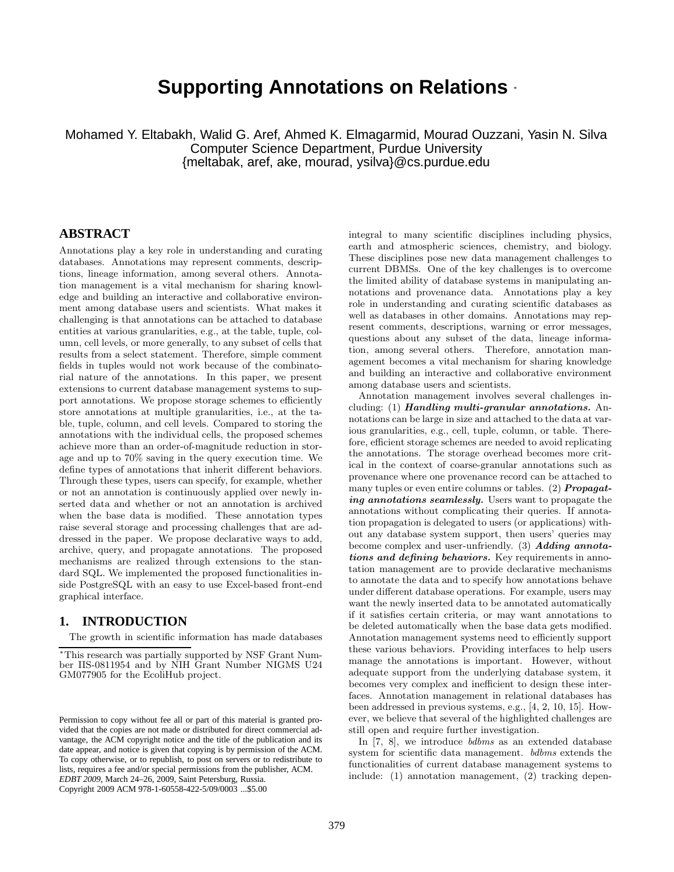# **Supporting Annotations on Relations** <sup>∗</sup>

Mohamed Y. Eltabakh, Walid G. Aref, Ahmed K. Elmagarmid, Mourad Ouzzani, Yasin N. Silva Computer Science Department, Purdue University {meltabak, aref, ake, mourad, ysilva}@cs.purdue.edu

## **ABSTRACT**

Annotations play a key role in understanding and curating databases. Annotations may represent comments, descriptions, lineage information, among several others. Annotation management is a vital mechanism for sharing knowledge and building an interactive and collaborative environment among database users and scientists. What makes it challenging is that annotations can be attached to database entities at various granularities, e.g., at the table, tuple, column, cell levels, or more generally, to any subset of cells that results from a select statement. Therefore, simple comment fields in tuples would not work because of the combinatorial nature of the annotations. In this paper, we present extensions to current database management systems to support annotations. We propose storage schemes to efficiently store annotations at multiple granularities, i.e., at the table, tuple, column, and cell levels. Compared to storing the annotations with the individual cells, the proposed schemes achieve more than an order-of-magnitude reduction in storage and up to 70% saving in the query execution time. We define types of annotations that inherit different behaviors. Through these types, users can specify, for example, whether or not an annotation is continuously applied over newly inserted data and whether or not an annotation is archived when the base data is modified. These annotation types raise several storage and processing challenges that are addressed in the paper. We propose declarative ways to add, archive, query, and propagate annotations. The proposed mechanisms are realized through extensions to the standard SQL. We implemented the proposed functionalities inside PostgreSQL with an easy to use Excel-based front-end graphical interface.

### **1. INTRODUCTION**

The growth in scientific information has made databases

integral to many scientific disciplines including physics, earth and atmospheric sciences, chemistry, and biology. These disciplines pose new data management challenges to current DBMSs. One of the key challenges is to overcome the limited ability of database systems in manipulating annotations and provenance data. Annotations play a key role in understanding and curating scientific databases as well as databases in other domains. Annotations may represent comments, descriptions, warning or error messages, questions about any subset of the data, lineage information, among several others. Therefore, annotation management becomes a vital mechanism for sharing knowledge and building an interactive and collaborative environment among database users and scientists.

Annotation management involves several challenges including: (1) Handling multi-granular annotations. Annotations can be large in size and attached to the data at various granularities, e.g., cell, tuple, column, or table. Therefore, efficient storage schemes are needed to avoid replicating the annotations. The storage overhead becomes more critical in the context of coarse-granular annotations such as provenance where one provenance record can be attached to many tuples or even entire columns or tables. (2) **Propagat**ing annotations seamlessly. Users want to propagate the annotations without complicating their queries. If annotation propagation is delegated to users (or applications) without any database system support, then users' queries may become complex and user-unfriendly. (3) Adding annotations and defining behaviors. Key requirements in annotation management are to provide declarative mechanisms to annotate the data and to specify how annotations behave under different database operations. For example, users may want the newly inserted data to be annotated automatically if it satisfies certain criteria, or may want annotations to be deleted automatically when the base data gets modified. Annotation management systems need to efficiently support these various behaviors. Providing interfaces to help users manage the annotations is important. However, without adequate support from the underlying database system, it becomes very complex and inefficient to design these interfaces. Annotation management in relational databases has been addressed in previous systems, e.g., [4, 2, 10, 15]. However, we believe that several of the highlighted challenges are still open and require further investigation.

In [7, 8], we introduce *bdbms* as an extended database system for scientific data management. bdbms extends the functionalities of current database management systems to include: (1) annotation management, (2) tracking depen-

<sup>∗</sup>This research was partially supported by NSF Grant Number IIS-0811954 and by NIH Grant Number NIGMS U24 GM077905 for the EcoliHub project.

Permission to copy without fee all or part of this material is granted provided that the copies are not made or distributed for direct commercial advantage, the ACM copyright notice and the title of the publication and its date appear, and notice is given that copying is by permission of the ACM. To copy otherwise, or to republish, to post on servers or to redistribute to lists, requires a fee and/or special permissions from the publisher, ACM. *EDBT 2009*, March 24–26, 2009, Saint Petersburg, Russia. Copyright 2009 ACM 978-1-60558-422-5/09/0003 ...\$5.00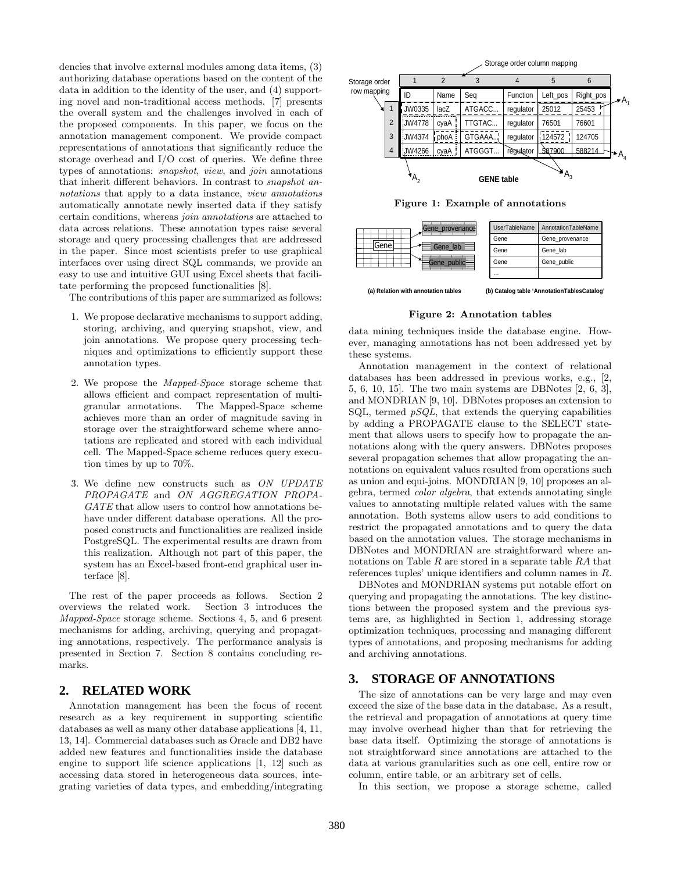dencies that involve external modules among data items, (3) authorizing database operations based on the content of the data in addition to the identity of the user, and (4) supporting novel and non-traditional access methods. [7] presents the overall system and the challenges involved in each of the proposed components. In this paper, we focus on the annotation management component. We provide compact representations of annotations that significantly reduce the storage overhead and I/O cost of queries. We define three types of annotations: snapshot, view, and join annotations that inherit different behaviors. In contrast to snapshot annotations that apply to a data instance, *view annotations* automatically annotate newly inserted data if they satisfy certain conditions, whereas join annotations are attached to data across relations. These annotation types raise several storage and query processing challenges that are addressed in the paper. Since most scientists prefer to use graphical interfaces over using direct SQL commands, we provide an easy to use and intuitive GUI using Excel sheets that facilitate performing the proposed functionalities [8].

The contributions of this paper are summarized as follows:

- 1. We propose declarative mechanisms to support adding, storing, archiving, and querying snapshot, view, and join annotations. We propose query processing techniques and optimizations to efficiently support these annotation types.
- 2. We propose the Mapped-Space storage scheme that allows efficient and compact representation of multigranular annotations. The Mapped-Space scheme achieves more than an order of magnitude saving in storage over the straightforward scheme where annotations are replicated and stored with each individual cell. The Mapped-Space scheme reduces query execution times by up to 70%.
- 3. We define new constructs such as ON UPDATE PROPAGATE and ON AGGREGATION PROPA-GATE that allow users to control how annotations behave under different database operations. All the proposed constructs and functionalities are realized inside PostgreSQL. The experimental results are drawn from this realization. Although not part of this paper, the system has an Excel-based front-end graphical user interface [8].

The rest of the paper proceeds as follows. Section 2 overviews the related work. Section 3 introduces the Mapped-Space storage scheme. Sections 4, 5, and 6 present mechanisms for adding, archiving, querying and propagating annotations, respectively. The performance analysis is presented in Section 7. Section 8 contains concluding remarks.

## **2. RELATED WORK**

Annotation management has been the focus of recent research as a key requirement in supporting scientific databases as well as many other database applications [4, 11, 13, 14]. Commercial databases such as Oracle and DB2 have added new features and functionalities inside the database engine to support life science applications [1, 12] such as accessing data stored in heterogeneous data sources, integrating varieties of data types, and embedding/integrating



Figure 1: Example of annotations



Figure 2: Annotation tables

data mining techniques inside the database engine. However, managing annotations has not been addressed yet by these systems.

Annotation management in the context of relational databases has been addressed in previous works, e.g., [2, 5, 6, 10, 15]. The two main systems are DBNotes [2, 6, 3], and MONDRIAN [9, 10]. DBNotes proposes an extension to  $SQL,$  termed  $pSQL,$  that extends the querying capabilities by adding a PROPAGATE clause to the SELECT statement that allows users to specify how to propagate the annotations along with the query answers. DBNotes proposes several propagation schemes that allow propagating the annotations on equivalent values resulted from operations such as union and equi-joins. MONDRIAN [9, 10] proposes an algebra, termed color algebra, that extends annotating single values to annotating multiple related values with the same annotation. Both systems allow users to add conditions to restrict the propagated annotations and to query the data based on the annotation values. The storage mechanisms in DBNotes and MONDRIAN are straightforward where annotations on Table R are stored in a separate table RA that references tuples' unique identifiers and column names in R.

DBNotes and MONDRIAN systems put notable effort on querying and propagating the annotations. The key distinctions between the proposed system and the previous systems are, as highlighted in Section 1, addressing storage optimization techniques, processing and managing different types of annotations, and proposing mechanisms for adding and archiving annotations.

## **3. STORAGE OF ANNOTATIONS**

The size of annotations can be very large and may even exceed the size of the base data in the database. As a result, the retrieval and propagation of annotations at query time may involve overhead higher than that for retrieving the base data itself. Optimizing the storage of annotations is not straightforward since annotations are attached to the data at various granularities such as one cell, entire row or column, entire table, or an arbitrary set of cells.

In this section, we propose a storage scheme, called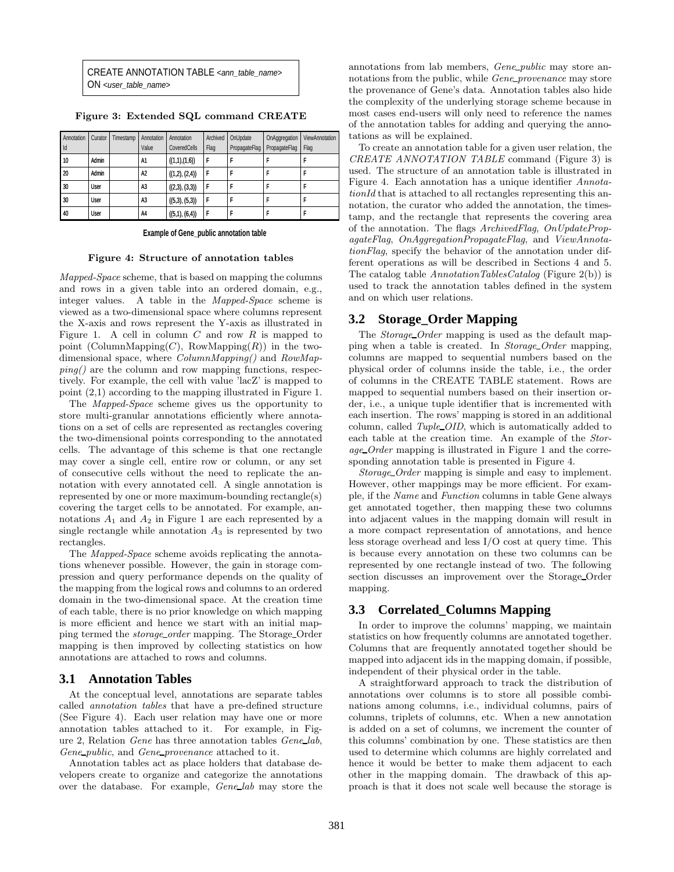CREATE ANNOTATION TABLE <ann\_table\_name> ON <user\_table\_name>

| Annotation | Curator      | Timestamp | Annotation     | Annotation     | Archived | OnUpdate      | OnAggregation | ViewAnnotation |
|------------|--------------|-----------|----------------|----------------|----------|---------------|---------------|----------------|
| Id         |              |           | Value          | CoveredCells   | Flag     | PropagateFlag | PropagateFlag | Flag           |
| 10         | <b>Admin</b> |           | A <sub>1</sub> | ((1,1),(1,6))  | F        |               |               |                |
| 20         | Admin        |           | A <sub>2</sub> | ((1,2), (2,4)) |          |               |               |                |
| 30         | User         |           | A3             | ((2,3), (3,3)) |          |               |               |                |
| 30         | User         |           | A3             | ((5,3), (5,3)) |          |               |               |                |
| 40         | User         |           | A4             | ((5,1), (6,4)) | F        |               |               |                |

Figure 3: Extended SQL command CREATE

#### **Example of Gene\_public annotation table**

#### Figure 4: Structure of annotation tables

Mapped-Space scheme, that is based on mapping the columns and rows in a given table into an ordered domain, e.g., integer values. A table in the Mapped-Space scheme is viewed as a two-dimensional space where columns represent the X-axis and rows represent the Y-axis as illustrated in Figure 1. A cell in column  $C$  and row  $R$  is mapped to point (ColumnMapping $(C)$ , RowMapping $(R)$ ) in the twodimensional space, where  $ColumnMapping()$  and  $RowMap$  $pinq()$  are the column and row mapping functions, respectively. For example, the cell with value 'lacZ' is mapped to point (2,1) according to the mapping illustrated in Figure 1.

The Mapped-Space scheme gives us the opportunity to store multi-granular annotations efficiently where annotations on a set of cells are represented as rectangles covering the two-dimensional points corresponding to the annotated cells. The advantage of this scheme is that one rectangle may cover a single cell, entire row or column, or any set of consecutive cells without the need to replicate the annotation with every annotated cell. A single annotation is represented by one or more maximum-bounding rectangle(s) covering the target cells to be annotated. For example, annotations  $A_1$  and  $A_2$  in Figure 1 are each represented by a single rectangle while annotation  $A_3$  is represented by two rectangles.

The Mapped-Space scheme avoids replicating the annotations whenever possible. However, the gain in storage compression and query performance depends on the quality of the mapping from the logical rows and columns to an ordered domain in the two-dimensional space. At the creation time of each table, there is no prior knowledge on which mapping is more efficient and hence we start with an initial mapping termed the storage order mapping. The Storage Order mapping is then improved by collecting statistics on how annotations are attached to rows and columns.

### **3.1 Annotation Tables**

At the conceptual level, annotations are separate tables called annotation tables that have a pre-defined structure (See Figure 4). Each user relation may have one or more annotation tables attached to it. For example, in Figure 2, Relation Gene has three annotation tables Gene lab, Gene *public*, and *Gene provenance* attached to it.

Annotation tables act as place holders that database developers create to organize and categorize the annotations over the database. For example, *Gene\_lab* may store the annotations from lab members, *Gene public* may store annotations from the public, while *Gene* provenance may store the provenance of Gene's data. Annotation tables also hide the complexity of the underlying storage scheme because in most cases end-users will only need to reference the names of the annotation tables for adding and querying the annotations as will be explained.

To create an annotation table for a given user relation, the CREATE ANNOTATION TABLE command (Figure 3) is used. The structure of an annotation table is illustrated in Figure 4. Each annotation has a unique identifier AnnotationId that is attached to all rectangles representing this annotation, the curator who added the annotation, the timestamp, and the rectangle that represents the covering area of the annotation. The flags ArchivedFlag, OnUpdatePropagateFlag, OnAggregationPropagateFlag, and ViewAnnotationFlag, specify the behavior of the annotation under different operations as will be described in Sections 4 and 5. The catalog table AnnotationTablesCatalog (Figure 2(b)) is used to track the annotation tables defined in the system and on which user relations.

### **3.2 Storage\_Order Mapping**

The *Storage Order* mapping is used as the default mapping when a table is created. In Storage Order mapping, columns are mapped to sequential numbers based on the physical order of columns inside the table, i.e., the order of columns in the CREATE TABLE statement. Rows are mapped to sequential numbers based on their insertion order, i.e., a unique tuple identifier that is incremented with each insertion. The rows' mapping is stored in an additional column, called Tuple OID, which is automatically added to each table at the creation time. An example of the Storage Order mapping is illustrated in Figure 1 and the corresponding annotation table is presented in Figure 4.

Storage Order mapping is simple and easy to implement. However, other mappings may be more efficient. For example, if the Name and Function columns in table Gene always get annotated together, then mapping these two columns into adjacent values in the mapping domain will result in a more compact representation of annotations, and hence less storage overhead and less I/O cost at query time. This is because every annotation on these two columns can be represented by one rectangle instead of two. The following section discusses an improvement over the Storage Order mapping.

## **3.3 Correlated\_Columns Mapping**

In order to improve the columns' mapping, we maintain statistics on how frequently columns are annotated together. Columns that are frequently annotated together should be mapped into adjacent ids in the mapping domain, if possible, independent of their physical order in the table.

A straightforward approach to track the distribution of annotations over columns is to store all possible combinations among columns, i.e., individual columns, pairs of columns, triplets of columns, etc. When a new annotation is added on a set of columns, we increment the counter of this columns' combination by one. These statistics are then used to determine which columns are highly correlated and hence it would be better to make them adjacent to each other in the mapping domain. The drawback of this approach is that it does not scale well because the storage is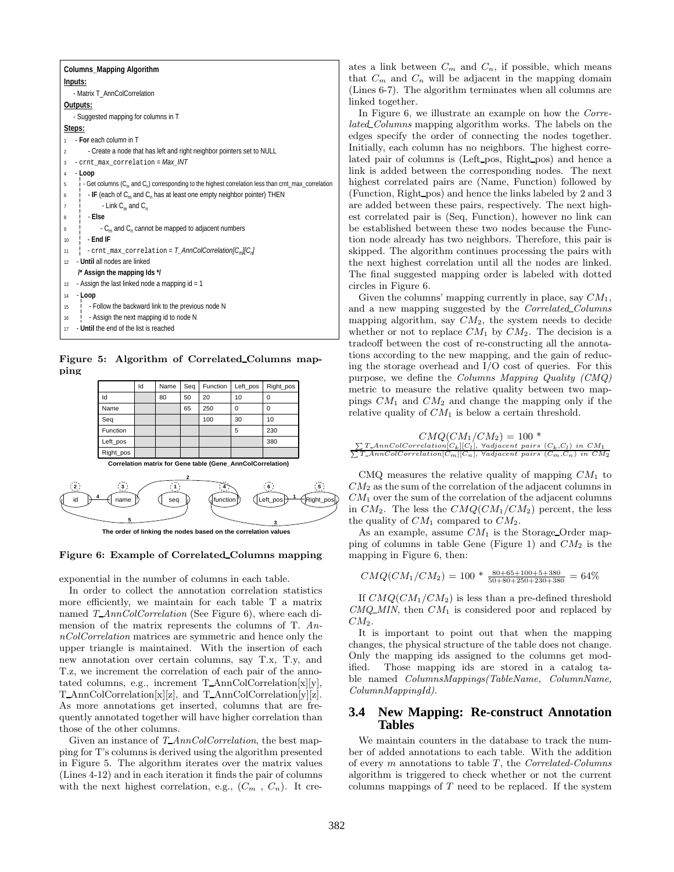| <b>Columns_Mapping Algorithm</b>                                                                                                             |
|----------------------------------------------------------------------------------------------------------------------------------------------|
| Inputs:                                                                                                                                      |
| - Matrix T_AnnColCorrelation                                                                                                                 |
| Outputs:                                                                                                                                     |
| - Suggested mapping for columns in T                                                                                                         |
| Steps:                                                                                                                                       |
| - For each column in T                                                                                                                       |
| - Create a node that has left and right neighbor pointers set to NULL<br>$\mathfrak{p}$                                                      |
| - crnt max correlation = Max INT<br>3                                                                                                        |
| - Loop<br>4                                                                                                                                  |
| $\mathbf{a}$ - Get columns (C <sub>m</sub> and C <sub>n</sub> ) corresponding to the highest correlation less than crnt_max_correlation<br>5 |
| - IF (each of $C_m$ and $C_n$ has at least one empty neighbor pointer) THEN<br>6                                                             |
| - Link $C_m$ and $C_n$<br>$\overline{7}$                                                                                                     |
| ∣ - Else<br>8                                                                                                                                |
| $-Cm$ and $Cn$ cannot be mapped to adjacent numbers<br>9                                                                                     |
| $\mathsf{I}$ - End IF<br>10                                                                                                                  |
| - crnt_max_correlation = T_AnnColCorrelation[C <sub>m</sub> ][C <sub>n</sub> ]<br>11                                                         |
| - Until all nodes are linked<br>12                                                                                                           |
| /* Assign the mapping lds */                                                                                                                 |
| - Assign the last linked node a mapping $id = 1$<br>13                                                                                       |
| - Loop<br>14                                                                                                                                 |
| - Follow the backward link to the previous node N<br>15                                                                                      |
| - Assign the next mapping id to node N<br>16                                                                                                 |
| - Until the end of the list is reached<br>17                                                                                                 |

Figure 5: Algorithm of Correlated Columns mapping

|                                                            | Id | Name | Seq | Function | Left_pos | Right_pos |
|------------------------------------------------------------|----|------|-----|----------|----------|-----------|
| Id                                                         |    | 80   | 50  | 20       | 10       | $\Omega$  |
| Name                                                       |    |      | 65  | 250      | n        | $\Omega$  |
| Seq                                                        |    |      |     | 100      | 30       | 10        |
| Function                                                   |    |      |     |          | 5        | 230       |
| Left_pos                                                   |    |      |     |          |          | 380       |
| Right_pos                                                  |    |      |     |          |          |           |
| Correlation matrix for Gene table (Gene AnnColCorrelation) |    |      |     |          |          |           |



#### Figure 6: Example of Correlated Columns mapping

exponential in the number of columns in each table.

In order to collect the annotation correlation statistics more efficiently, we maintain for each table T a matrix named  $T_{Ann}ColCorrelation$  (See Figure 6), where each dimension of the matrix represents the columns of T. AnnColCorrelation matrices are symmetric and hence only the upper triangle is maintained. With the insertion of each new annotation over certain columns, say T.x, T.y, and T.z, we increment the correlation of each pair of the annotated columns, e.g., increment T AnnColCorrelation[x][y], T AnnColCorrelation[x][z], and T AnnColCorrelation[y][z]. As more annotations get inserted, columns that are frequently annotated together will have higher correlation than those of the other columns.

Given an instance of  $T_{Ann}ColCorrelation$ , the best mapping for T's columns is derived using the algorithm presented in Figure 5. The algorithm iterates over the matrix values (Lines 4-12) and in each iteration it finds the pair of columns with the next highest correlation, e.g.,  $(C_m, C_n)$ . It creates a link between  $C_m$  and  $C_n$ , if possible, which means that  $C_m$  and  $C_n$  will be adjacent in the mapping domain (Lines 6-7). The algorithm terminates when all columns are linked together.

In Figure 6, we illustrate an example on how the Correlated Columns mapping algorithm works. The labels on the edges specify the order of connecting the nodes together. Initially, each column has no neighbors. The highest correlated pair of columns is (Left pos, Right pos) and hence a link is added between the corresponding nodes. The next highest correlated pairs are (Name, Function) followed by (Function, Right pos) and hence the links labeled by 2 and 3 are added between these pairs, respectively. The next highest correlated pair is (Seq, Function), however no link can be established between these two nodes because the Function node already has two neighbors. Therefore, this pair is skipped. The algorithm continues processing the pairs with the next highest correlation until all the nodes are linked. The final suggested mapping order is labeled with dotted circles in Figure 6.

Given the columns' mapping currently in place, say  $CM_1$ , and a new mapping suggested by the Correlated Columns mapping algorithm, say  $CM<sub>2</sub>$ , the system needs to decide whether or not to replace  $CM_1$  by  $CM_2$ . The decision is a tradeoff between the cost of re-constructing all the annotations according to the new mapping, and the gain of reducing the storage overhead and I/O cost of queries. For this purpose, we define the Columns Mapping Quality (CMQ) metric to measure the relative quality between two mappings  $CM_1$  and  $CM_2$  and change the mapping only if the relative quality of  $CM<sub>1</sub>$  is below a certain threshold.

$$
CMQ(CM_1/CM_2) = 100 *
$$
  
\n
$$
\sum T_{AnnColCorrelation[C_k][C_l], \text{Yadjacent pairs } (C_k, C_l) \text{ in } CM_1
$$
  
\n
$$
\sum T_{AnnColCorrelation[C_m][C_n], \text{Yadjacent pairs } (C_m, C_n) \text{ in } CM_2
$$

CMQ measures the relative quality of mapping  $CM<sub>1</sub>$  to  $CM<sub>2</sub>$  as the sum of the correlation of the adjacent columns in  $CM<sub>1</sub>$  over the sum of the correlation of the adjacent columns in  $CM_2$ . The less the  $CMQ(CM_1/CM_2)$  percent, the less the quality of  $CM_1$  compared to  $CM_2$ .

As an example, assume  $CM<sub>1</sub>$  is the Storage Order mapping of columns in table Gene (Figure 1) and  $CM<sub>2</sub>$  is the mapping in Figure 6, then:

$$
CMQ(CM_1/CM_2) = 100 * \frac{80 + 65 + 100 + 5 + 380}{50 + 80 + 250 + 230 + 380} = 64\%
$$

If  $CMQ(CM_1/CM_2)$  is less than a pre-defined threshold  $CMQ_MIN$ , then  $CM<sub>1</sub>$  is considered poor and replaced by  $CM<sub>2</sub>$ .

It is important to point out that when the mapping changes, the physical structure of the table does not change. Only the mapping ids assigned to the columns get modified. Those mapping ids are stored in a catalog table named ColumnsMappings(TableName, ColumnName, ColumnMappingId).

### **3.4 New Mapping: Re-construct Annotation Tables**

We maintain counters in the database to track the number of added annotations to each table. With the addition of every  $m$  annotations to table  $T$ , the Correlated-Columns algorithm is triggered to check whether or not the current columns mappings of  $T$  need to be replaced. If the system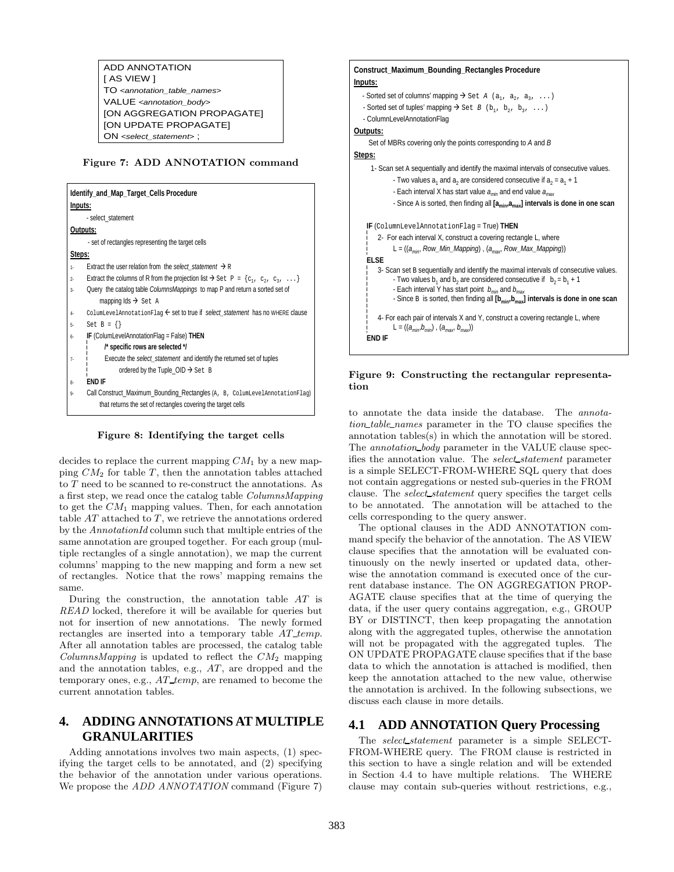ADD ANNOTATION [ AS VIEW ] TO <annotation\_table\_names> VALUE <annotation\_body> [ON AGGREGATION PROPAGATE] [ON UPDATE PROPAGATE] ON <select\_statement> ;

#### Figure 7: ADD ANNOTATION command

|         | Identify_and_Map_Target_Cells Procedure                                                                                       |  |
|---------|-------------------------------------------------------------------------------------------------------------------------------|--|
| Inputs: |                                                                                                                               |  |
|         | - select statement                                                                                                            |  |
|         | Outputs:                                                                                                                      |  |
|         | - set of rectangles representing the target cells                                                                             |  |
| Steps:  |                                                                                                                               |  |
| $1 -$   | Extract the user relation from the select statement $\rightarrow \mathbb{R}$                                                  |  |
| $2 -$   | Extract the columns of R from the projection list $\rightarrow$ Set P = {c <sub>1</sub> , c <sub>2</sub> , c <sub>3</sub> , } |  |
| 3-      | Query the catalog table ColumnsMappings to map P and return a sorted set of                                                   |  |
|         | mapping $\text{lds} \rightarrow \text{Set A}$                                                                                 |  |
| 4       | ColumLevelAnnotationFlag $\epsilon$ set to true if select_statement has no WHERE clause                                       |  |
| 5-      | Set $B = \{\}$                                                                                                                |  |
| 6-      | IF (ColumLevelAnnotationFlag = False) THEN                                                                                    |  |
|         | /* specific rows are selected */                                                                                              |  |
| $7-$    | Execute the select_statement and identify the returned set of tuples                                                          |  |
|         | ordered by the Tuple $OID \rightarrow Set$ B                                                                                  |  |
| 8-      | <b>END IF</b>                                                                                                                 |  |
| д.      | Call Construct_Maximum_Bounding_Rectangles (A, B, ColumLevelAnnotationFlag)                                                   |  |
|         | that returns the set of rectangles covering the target cells                                                                  |  |

#### Figure 8: Identifying the target cells

decides to replace the current mapping  $CM_1$  by a new mapping  $CM_2$  for table T, then the annotation tables attached to  $T$  need to be scanned to re-construct the annotations. As a first step, we read once the catalog table ColumnsMapping to get the  $CM_1$  mapping values. Then, for each annotation table  $AT$  attached to  $T$ , we retrieve the annotations ordered by the AnnotationId column such that multiple entries of the same annotation are grouped together. For each group (multiple rectangles of a single annotation), we map the current columns' mapping to the new mapping and form a new set of rectangles. Notice that the rows' mapping remains the same.

During the construction, the annotation table  $AT$  is READ locked, therefore it will be available for queries but not for insertion of new annotations. The newly formed rectangles are inserted into a temporary table  $AT\_temp$ . After all annotation tables are processed, the catalog table  $ColumnsMapping$  is updated to reflect the  $CM_2$  mapping and the annotation tables, e.g., AT, are dropped and the temporary ones, e.g.,  $AT\_\text{temp}$ , are renamed to become the current annotation tables.

## **4. ADDING ANNOTATIONS AT MULTIPLE GRANULARITIES**

Adding annotations involves two main aspects, (1) specifying the target cells to be annotated, and (2) specifying the behavior of the annotation under various operations. We propose the *ADD ANNOTATION* command (Figure 7)



#### Figure 9: Constructing the rectangular representation

to annotate the data inside the database. The annotation table names parameter in the TO clause specifies the annotation tables(s) in which the annotation will be stored. The *annotation\_body* parameter in the VALUE clause specifies the annotation value. The select statement parameter is a simple SELECT-FROM-WHERE SQL query that does not contain aggregations or nested sub-queries in the FROM clause. The *select\_statement* query specifies the target cells to be annotated. The annotation will be attached to the cells corresponding to the query answer.

The optional clauses in the ADD ANNOTATION command specify the behavior of the annotation. The AS VIEW clause specifies that the annotation will be evaluated continuously on the newly inserted or updated data, otherwise the annotation command is executed once of the current database instance. The ON AGGREGATION PROP-AGATE clause specifies that at the time of querying the data, if the user query contains aggregation, e.g., GROUP BY or DISTINCT, then keep propagating the annotation along with the aggregated tuples, otherwise the annotation will not be propagated with the aggregated tuples. The ON UPDATE PROPAGATE clause specifies that if the base data to which the annotation is attached is modified, then keep the annotation attached to the new value, otherwise the annotation is archived. In the following subsections, we discuss each clause in more details.

### **4.1 ADD ANNOTATION Query Processing**

The select statement parameter is a simple SELECT-FROM-WHERE query. The FROM clause is restricted in this section to have a single relation and will be extended in Section 4.4 to have multiple relations. The WHERE clause may contain sub-queries without restrictions, e.g.,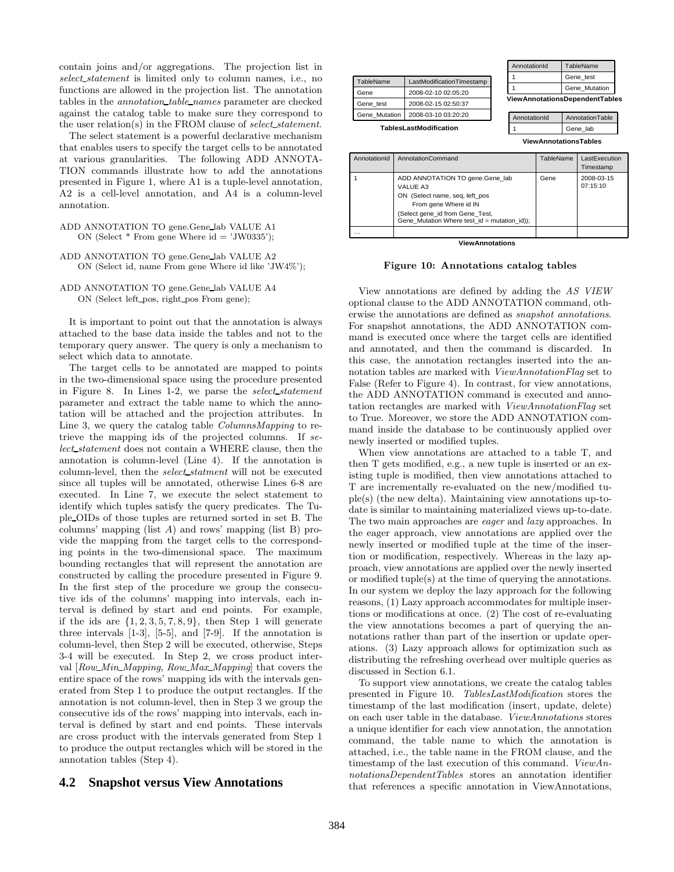contain joins and/or aggregations. The projection list in select\_statement is limited only to column names, i.e., no functions are allowed in the projection list. The annotation tables in the annotation table names parameter are checked against the catalog table to make sure they correspond to the user relation(s) in the FROM clause of select statement.

The select statement is a powerful declarative mechanism that enables users to specify the target cells to be annotated at various granularities. The following ADD ANNOTA-TION commands illustrate how to add the annotations presented in Figure 1, where A1 is a tuple-level annotation, A2 is a cell-level annotation, and A4 is a column-level annotation.

```
ADD ANNOTATION TO gene.Gene lab VALUE A1
ON (Select * From gene Where id = 'JW0335');
```
ADD ANNOTATION TO gene.Gene lab VALUE A2 ON (Select id, name From gene Where id like 'JW4%');

ADD ANNOTATION TO gene.Gene lab VALUE A4 ON (Select left pos, right pos From gene);

It is important to point out that the annotation is always attached to the base data inside the tables and not to the temporary query answer. The query is only a mechanism to select which data to annotate.

The target cells to be annotated are mapped to points in the two-dimensional space using the procedure presented in Figure 8. In Lines 1-2, we parse the select statement parameter and extract the table name to which the annotation will be attached and the projection attributes. In Line 3, we query the catalog table *ColumnsMapping* to retrieve the mapping ids of the projected columns. If select statement does not contain a WHERE clause, then the annotation is column-level (Line 4). If the annotation is column-level, then the select statment will not be executed since all tuples will be annotated, otherwise Lines 6-8 are executed. In Line 7, we execute the select statement to identify which tuples satisfy the query predicates. The Tuple OIDs of those tuples are returned sorted in set B. The columns' mapping (list  $A$ ) and rows' mapping (list  $B$ ) provide the mapping from the target cells to the corresponding points in the two-dimensional space. The maximum bounding rectangles that will represent the annotation are constructed by calling the procedure presented in Figure 9. In the first step of the procedure we group the consecutive ids of the columns' mapping into intervals, each interval is defined by start and end points. For example, if the ids are  $\{1, 2, 3, 5, 7, 8, 9\}$ , then Step 1 will generate three intervals [1-3], [5-5], and [7-9]. If the annotation is column-level, then Step 2 will be executed, otherwise, Steps 3-4 will be executed. In Step 2, we cross product interval [Row\_Min\_Mapping, Row\_Max\_Mapping] that covers the entire space of the rows' mapping ids with the intervals generated from Step 1 to produce the output rectangles. If the annotation is not column-level, then in Step 3 we group the consecutive ids of the rows' mapping into intervals, each interval is defined by start and end points. These intervals are cross product with the intervals generated from Step 1 to produce the output rectangles which will be stored in the annotation tables (Step 4).

### **4.2 Snapshot versus View Annotations**

|                  |                               | AnnotationId | TableName                      |
|------------------|-------------------------------|--------------|--------------------------------|
| <b>TableName</b> | LastModificationTimestamp     |              | Gene test                      |
| Gene             | 2008-02-10 02:05:20           |              | Gene Mutation                  |
| Gene test        | 2008-02-15 02:50:37           |              | ViewAnnotationsDependentTables |
| Gene Mutation    | 2008-03-10 03:20:20           | AnnotationId | AnnotationTable                |
|                  | <b>TablesLastModification</b> |              | Gene lab                       |
|                  |                               |              | <b>ViewAnnotationsTables</b>   |

| AnnotationId | AnnotationCommand                                                                                                                                                                         | TableName | LastExecution<br>Timestamp |
|--------------|-------------------------------------------------------------------------------------------------------------------------------------------------------------------------------------------|-----------|----------------------------|
|              | ADD ANNOTATION TO gene.Gene lab<br>VALUE A3<br>ON (Select name, seq, left pos<br>From gene Where id IN<br>(Select gene_id from Gene_Test,<br>Gene Mutation Where test id = mutation id)); | Gene      | 2008-03-15<br>07:15:10     |
| .            |                                                                                                                                                                                           |           |                            |

**ViewAnnotations**

#### Figure 10: Annotations catalog tables

View annotations are defined by adding the AS VIEW optional clause to the ADD ANNOTATION command, otherwise the annotations are defined as snapshot annotations. For snapshot annotations, the ADD ANNOTATION command is executed once where the target cells are identified and annotated, and then the command is discarded. In this case, the annotation rectangles inserted into the annotation tables are marked with ViewAnnotationFlag set to False (Refer to Figure 4). In contrast, for view annotations, the ADD ANNOTATION command is executed and annotation rectangles are marked with ViewAnnotationFlag set to True. Moreover, we store the ADD ANNOTATION command inside the database to be continuously applied over newly inserted or modified tuples.

When view annotations are attached to a table T, and then T gets modified, e.g., a new tuple is inserted or an existing tuple is modified, then view annotations attached to T are incrementally re-evaluated on the new/modified tuple(s) (the new delta). Maintaining view annotations up-todate is similar to maintaining materialized views up-to-date. The two main approaches are eager and lazy approaches. In the eager approach, view annotations are applied over the newly inserted or modified tuple at the time of the insertion or modification, respectively. Whereas in the lazy approach, view annotations are applied over the newly inserted or modified tuple(s) at the time of querying the annotations. In our system we deploy the lazy approach for the following reasons, (1) Lazy approach accommodates for multiple insertions or modifications at once. (2) The cost of re-evaluating the view annotations becomes a part of querying the annotations rather than part of the insertion or update operations. (3) Lazy approach allows for optimization such as distributing the refreshing overhead over multiple queries as discussed in Section 6.1.

To support view annotations, we create the catalog tables presented in Figure 10. TablesLastModification stores the timestamp of the last modification (insert, update, delete) on each user table in the database. ViewAnnotations stores a unique identifier for each view annotation, the annotation command, the table name to which the annotation is attached, i.e., the table name in the FROM clause, and the timestamp of the last execution of this command. ViewAnnotationsDependentTables stores an annotation identifier that references a specific annotation in ViewAnnotations,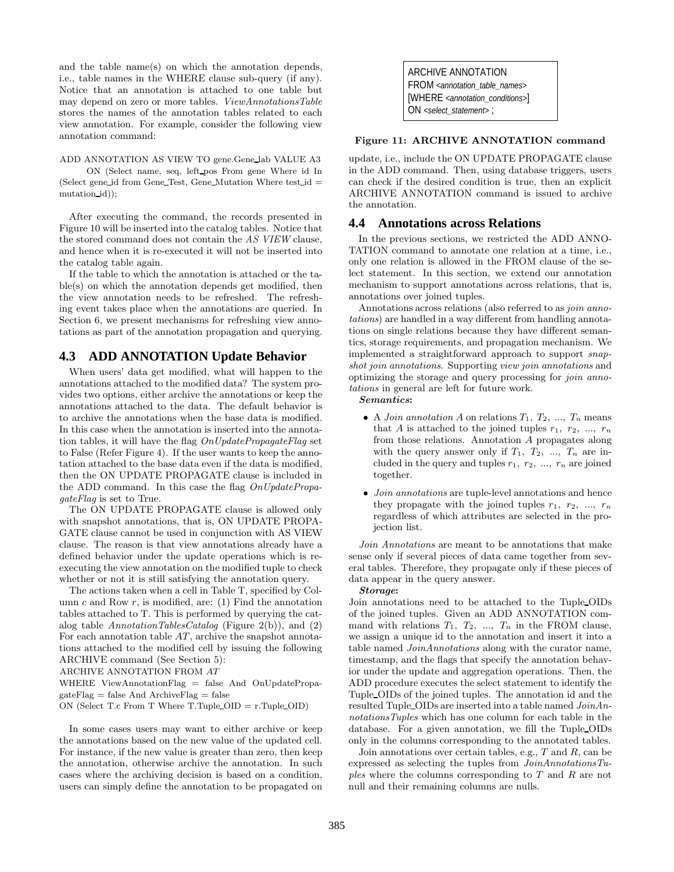and the table name(s) on which the annotation depends, i.e., table names in the WHERE clause sub-query (if any). Notice that an annotation is attached to one table but may depend on zero or more tables. ViewAnnotationsTable stores the names of the annotation tables related to each view annotation. For example, consider the following view annotation command:

ADD ANNOTATION AS VIEW TO gene.Gene lab VALUE A3

ON (Select name, seq, left pos From gene Where id In (Select gene\_id from Gene\_Test, Gene\_Mutation Where test\_id  $=$ mutation id));

After executing the command, the records presented in Figure 10 will be inserted into the catalog tables. Notice that the stored command does not contain the AS VIEW clause, and hence when it is re-executed it will not be inserted into the catalog table again.

If the table to which the annotation is attached or the table(s) on which the annotation depends get modified, then the view annotation needs to be refreshed. The refreshing event takes place when the annotations are queried. In Section 6, we present mechanisms for refreshing view annotations as part of the annotation propagation and querying.

## **4.3 ADD ANNOTATION Update Behavior**

When users' data get modified, what will happen to the annotations attached to the modified data? The system provides two options, either archive the annotations or keep the annotations attached to the data. The default behavior is to archive the annotations when the base data is modified. In this case when the annotation is inserted into the annotation tables, it will have the flag  $OnUpdatePropagateFlag$  set to False (Refer Figure 4). If the user wants to keep the annotation attached to the base data even if the data is modified, then the ON UPDATE PROPAGATE clause is included in the ADD command. In this case the flag  $OnUpdatePropa$ gateFlag is set to True.

The ON UPDATE PROPAGATE clause is allowed only with snapshot annotations, that is, ON UPDATE PROPA-GATE clause cannot be used in conjunction with AS VIEW clause. The reason is that view annotations already have a defined behavior under the update operations which is reexecuting the view annotation on the modified tuple to check whether or not it is still satisfying the annotation query.

The actions taken when a cell in Table T, specified by Column  $c$  and Row  $r$ , is modified, are: (1) Find the annotation tables attached to T. This is performed by querying the catalog table  $AnnotationTablesCatalog$  (Figure 2(b)), and (2) For each annotation table  $AT$ , archive the snapshot annotations attached to the modified cell by issuing the following ARCHIVE command (See Section 5):

ARCHIVE ANNOTATION FROM AT

WHERE ViewAnnotationFlag = false And OnUpdatePropa $gateFlag = false And ArchiveFlag = false$ ON (Select T.c From T Where T.Tuple OID = r.Tuple OID)

In some cases users may want to either archive or keep the annotations based on the new value of the updated cell. For instance, if the new value is greater than zero, then keep the annotation, otherwise archive the annotation. In such cases where the archiving decision is based on a condition, users can simply define the annotation to be propagated on ARCHIVE ANNOTATION FROM <annotation\_table\_names> [WHERE <annotation\_conditions>] ON <select\_statement> ;

### Figure 11: ARCHIVE ANNOTATION command

update, i.e., include the ON UPDATE PROPAGATE clause in the ADD command. Then, using database triggers, users can check if the desired condition is true, then an explicit ARCHIVE ANNOTATION command is issued to archive the annotation.

## **4.4 Annotations across Relations**

In the previous sections, we restricted the ADD ANNO-TATION command to annotate one relation at a time, i.e., only one relation is allowed in the FROM clause of the select statement. In this section, we extend our annotation mechanism to support annotations across relations, that is, annotations over joined tuples.

Annotations across relations (also referred to as *join anno*tations) are handled in a way different from handling annotations on single relations because they have different semantics, storage requirements, and propagation mechanism. We implemented a straightforward approach to support snapshot join annotations. Supporting view join annotations and optimizing the storage and query processing for join annotations in general are left for future work.

Semantics:

- A *Join annotation A* on relations  $T_1, T_2, ..., T_n$  means that A is attached to the joined tuples  $r_1, r_2, ..., r_n$ from those relations. Annotation A propagates along with the query answer only if  $T_1$ ,  $T_2$ , ...,  $T_n$  are included in the query and tuples  $r_1, r_2, ..., r_n$  are joined together.
- *Join annotations* are tuple-level annotations and hence they propagate with the joined tuples  $r_1, r_2, ..., r_n$ regardless of which attributes are selected in the projection list.

Join Annotations are meant to be annotations that make sense only if several pieces of data came together from several tables. Therefore, they propagate only if these pieces of data appear in the query answer.

#### Storage:

Join annotations need to be attached to the Tuple OIDs of the joined tuples. Given an ADD ANNOTATION command with relations  $T_1$ ,  $T_2$ , ...,  $T_n$  in the FROM clause, we assign a unique id to the annotation and insert it into a table named JoinAnnotations along with the curator name, timestamp, and the flags that specify the annotation behavior under the update and aggregation operations. Then, the ADD procedure executes the select statement to identify the Tuple OIDs of the joined tuples. The annotation id and the resulted Tuple OIDs are inserted into a table named JoinAnnotationsTuples which has one column for each table in the database. For a given annotation, we fill the Tuple OIDs only in the columns corresponding to the annotated tables.

Join annotations over certain tables, e.g.,  $T$  and  $R$ , can be expressed as selecting the tuples from JoinAnnotationsTuples where the columns corresponding to T and R are not null and their remaining columns are nulls.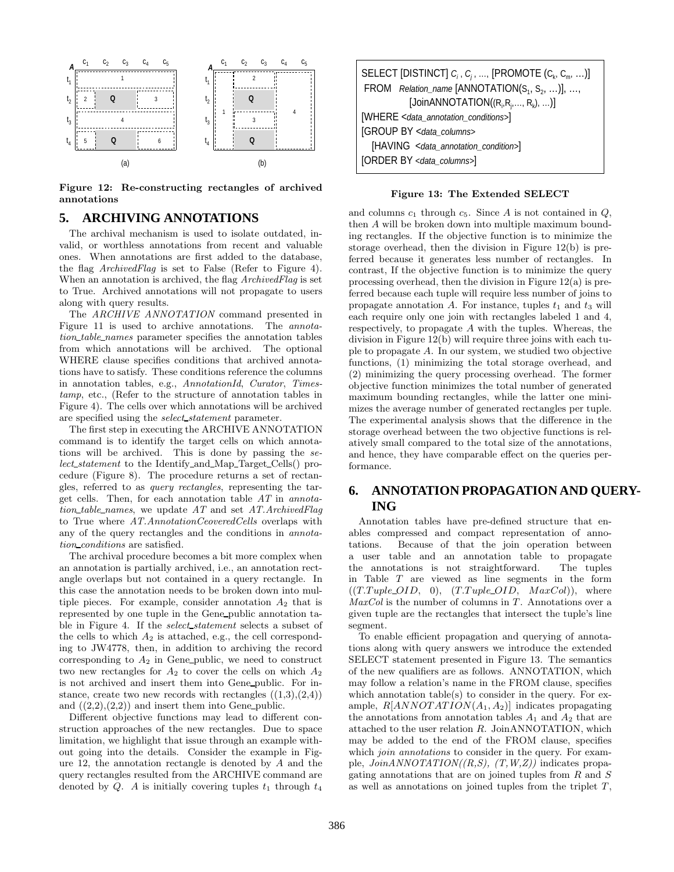

Figure 12: Re-constructing rectangles of archived annotations

## **5. ARCHIVING ANNOTATIONS**

The archival mechanism is used to isolate outdated, invalid, or worthless annotations from recent and valuable ones. When annotations are first added to the database, the flag ArchivedFlag is set to False (Refer to Figure 4). When an annotation is archived, the flag ArchivedFlag is set to True. Archived annotations will not propagate to users along with query results.

The ARCHIVE ANNOTATION command presented in Figure 11 is used to archive annotations. The *annota*tion\_table\_names parameter specifies the annotation tables from which annotations will be archived. The optional WHERE clause specifies conditions that archived annotations have to satisfy. These conditions reference the columns in annotation tables, e.g., AnnotationId, Curator, Timestamp, etc., (Refer to the structure of annotation tables in Figure 4). The cells over which annotations will be archived are specified using the select statement parameter.

The first step in executing the ARCHIVE ANNOTATION command is to identify the target cells on which annotations will be archived. This is done by passing the select statement to the Identify and Map Target Cells() procedure (Figure 8). The procedure returns a set of rectangles, referred to as query rectangles, representing the target cells. Then, for each annotation table  $AT$  in annotation table names, we update AT and set AT.ArchivedFlag to True where AT.AnnotationCeoveredCells overlaps with any of the query rectangles and the conditions in annotation conditions are satisfied.

The archival procedure becomes a bit more complex when an annotation is partially archived, i.e., an annotation rectangle overlaps but not contained in a query rectangle. In this case the annotation needs to be broken down into multiple pieces. For example, consider annotation  $A_2$  that is represented by one tuple in the Gene public annotation table in Figure 4. If the *select\_statement* selects a subset of the cells to which  $A_2$  is attached, e.g., the cell corresponding to JW4778, then, in addition to archiving the record corresponding to  $A_2$  in Gene public, we need to construct two new rectangles for  $A_2$  to cover the cells on which  $A_2$ is not archived and insert them into Gene public. For instance, create two new records with rectangles  $((1,3),(2,4))$ and  $((2,2),(2,2))$  and insert them into Gene public.

Different objective functions may lead to different construction approaches of the new rectangles. Due to space limitation, we highlight that issue through an example without going into the details. Consider the example in Figure 12, the annotation rectangle is denoted by A and the query rectangles resulted from the ARCHIVE command are denoted by  $Q$ . A is initially covering tuples  $t_1$  through  $t_4$ 



#### Figure 13: The Extended SELECT

and columns  $c_1$  through  $c_5$ . Since A is not contained in  $Q$ , then A will be broken down into multiple maximum bounding rectangles. If the objective function is to minimize the storage overhead, then the division in Figure 12(b) is preferred because it generates less number of rectangles. In contrast, If the objective function is to minimize the query processing overhead, then the division in Figure 12(a) is preferred because each tuple will require less number of joins to propagate annotation A. For instance, tuples  $t_1$  and  $t_3$  will each require only one join with rectangles labeled 1 and 4, respectively, to propagate A with the tuples. Whereas, the division in Figure 12(b) will require three joins with each tuple to propagate A. In our system, we studied two objective functions, (1) minimizing the total storage overhead, and (2) minimizing the query processing overhead. The former objective function minimizes the total number of generated maximum bounding rectangles, while the latter one minimizes the average number of generated rectangles per tuple. The experimental analysis shows that the difference in the storage overhead between the two objective functions is relatively small compared to the total size of the annotations, and hence, they have comparable effect on the queries performance.

## **6. ANNOTATION PROPAGATION AND QUERY-ING**

Annotation tables have pre-defined structure that enables compressed and compact representation of annotations. Because of that the join operation between a user table and an annotation table to propagate the annotations is not straightforward. in Table T are viewed as line segments in the form  $((T_{\cdot}Tuple\_OID, 0), (T_{\cdot}Tuple\_OID, MaxCol)),$  where  $MaxCol$  is the number of columns in T. Annotations over a given tuple are the rectangles that intersect the tuple's line segment.

To enable efficient propagation and querying of annotations along with query answers we introduce the extended SELECT statement presented in Figure 13. The semantics of the new qualifiers are as follows. ANNOTATION, which may follow a relation's name in the FROM clause, specifies which annotation table(s) to consider in the query. For example,  $R[ANNOTATION(A_1, A_2)]$  indicates propagating the annotations from annotation tables  $A_1$  and  $A_2$  that are attached to the user relation R. JoinANNOTATION, which may be added to the end of the FROM clause, specifies which *join annotations* to consider in the query. For example,  $JoinANNOTATION((R, S), (T, W, Z))$  indicates propagating annotations that are on joined tuples from  $R$  and  $S$ as well as annotations on joined tuples from the triplet  $T$ ,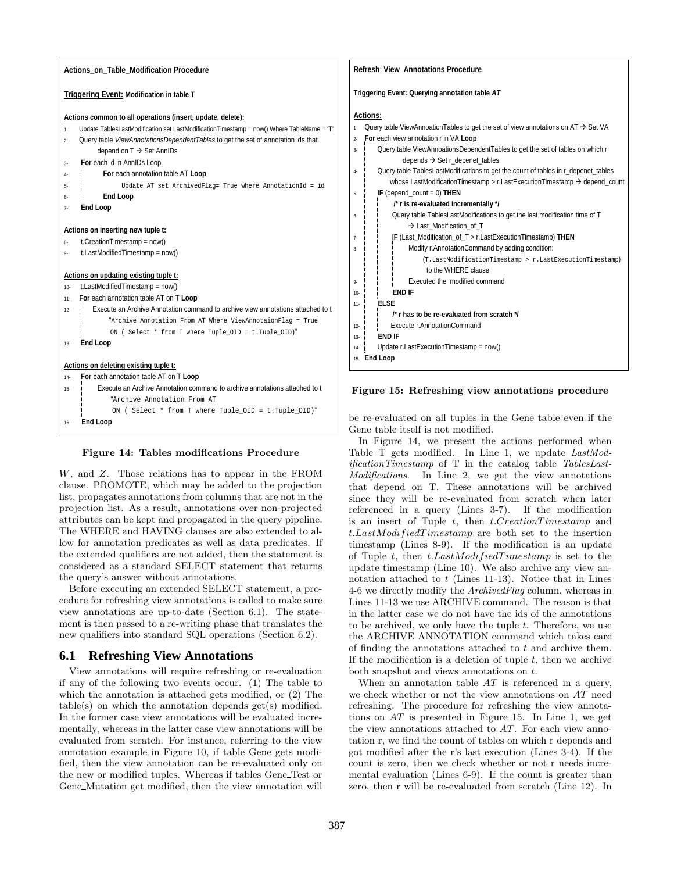| Actions_on_Table_Modification Procedure                                                            |
|----------------------------------------------------------------------------------------------------|
| Triggering Event: Modification in table T                                                          |
| Actions common to all operations (insert, update, delete):                                         |
| Update TablesLastModification set LastModificationTimestamp = now() Where TableName = 'T'<br>$1 -$ |
| Query table ViewAnnotationsDependentTables to get the set of annotation ids that<br>$2 -$          |
| depend on $T \rightarrow$ Set AnniDs                                                               |
| For each id in AnnIDs Loop<br>$3-$                                                                 |
| For each annotation table AT Loop<br>4-                                                            |
| Update AT set ArchivedFlag= True where AnnotationId = id<br>5-                                     |
| <b>End Loop</b><br>6-                                                                              |
| <b>End Loop</b><br>$7-$                                                                            |
|                                                                                                    |
| Actions on inserting new tuple t:                                                                  |
| t.CreationTimestamp = now()<br>8-                                                                  |
| t.LastModifiedTimestamp = now()<br>9-                                                              |
| Actions on updating existing tuple t:                                                              |
| t.LastModifiedTimestamp = now()<br>$10-$                                                           |
| For each annotation table AT on T Loop<br>$11 -$                                                   |
| Execute an Archive Annotation command to archive view annotations attached to t<br>$12 -$          |
| "Archive Annotation From AT Where ViewAnnotaionFlag = True                                         |
| ON ( Select * from T where Tuple_OID = t.Tuple_OID)"                                               |
| <b>End Loop</b><br>$13 -$                                                                          |
|                                                                                                    |
| Actions on deleting existing tuple t:                                                              |
| For each annotation table AT on T Loop<br>$14-$                                                    |
| Execute an Archive Annotation command to archive annotations attached to t<br>$15 -$               |
| "Archive Annotation From AT                                                                        |
| ON ( Select * from T where Tuple_OID = t.Tuple_OID)"                                               |
| <b>End Loop</b><br>$16 -$                                                                          |

### Figure 14: Tables modifications Procedure

W, and Z. Those relations has to appear in the FROM clause. PROMOTE, which may be added to the projection list, propagates annotations from columns that are not in the projection list. As a result, annotations over non-projected attributes can be kept and propagated in the query pipeline. The WHERE and HAVING clauses are also extended to allow for annotation predicates as well as data predicates. If the extended qualifiers are not added, then the statement is considered as a standard SELECT statement that returns the query's answer without annotations.

Before executing an extended SELECT statement, a procedure for refreshing view annotations is called to make sure view annotations are up-to-date (Section 6.1). The statement is then passed to a re-writing phase that translates the new qualifiers into standard SQL operations (Section 6.2).

## **6.1 Refreshing View Annotations**

View annotations will require refreshing or re-evaluation if any of the following two events occur. (1) The table to which the annotation is attached gets modified, or (2) The  $table(s)$  on which the annotation depends  $get(s)$  modified. In the former case view annotations will be evaluated incrementally, whereas in the latter case view annotations will be evaluated from scratch. For instance, referring to the view annotation example in Figure 10, if table Gene gets modified, then the view annotation can be re-evaluated only on the new or modified tuples. Whereas if tables Gene Test or Gene Mutation get modified, then the view annotation will

|                 | Triggering Event: Querying annotation table AT                                                                              |
|-----------------|-----------------------------------------------------------------------------------------------------------------------------|
| <b>Actions:</b> |                                                                                                                             |
| $1 -$           | Query table ViewAnnoationTables to get the set of view annotations on $AT \rightarrow Set VA$                               |
| $2 -$           | For each view annotation r in VA Loop                                                                                       |
| 3-              | Query table ViewAnnoationsDependentTables to get the set of tables on which r<br>depends $\rightarrow$ Set r depenet tables |
| $4-$            | Query table Tables Last Modifications to get the count of tables in r depenet tables                                        |
|                 | whose LastModification Timestamp > r.LastExecution Timestamp $\rightarrow$ depend count                                     |
| 5-              | IF (depend count = 0) THEN                                                                                                  |
|                 | /* r is re-evaluated incrementally */                                                                                       |
| 6-              | Query table TablesLastModifications to get the last modification time of T                                                  |
|                 | $\rightarrow$ Last Modification of T                                                                                        |
| $7-$            | <b>IF</b> (Last Modification of $T > r$ . Last Execution Timestamp) THEN                                                    |
| 8-              | Modify r.AnnotationCommand by adding condition:                                                                             |
|                 | (T.LastModificationTimestamp > r.LastExecutionTimestamp)                                                                    |
|                 | to the WHERE clause                                                                                                         |
| 9-              | Executed the modified command                                                                                               |
| $10 -$          | <b>END IF</b>                                                                                                               |
| $11 -$          | <b>ELSE</b>                                                                                                                 |
|                 | /* r has to be re-evaluated from scratch */                                                                                 |
| $12 -$          | Execute r.AnnotationCommand                                                                                                 |
| $13 -$          | <b>END IF</b>                                                                                                               |
| $14-$           | Update r.LastExecutionTimestamp = now()                                                                                     |

### Figure 15: Refreshing view annotations procedure

be re-evaluated on all tuples in the Gene table even if the Gene table itself is not modified.

In Figure 14, we present the actions performed when Table T gets modified. In Line 1, we update  $LastMod$ ificationTimestamp of T in the catalog table TablesLast-Modifications. In Line 2, we get the view annotations that depend on T. These annotations will be archived since they will be re-evaluated from scratch when later referenced in a query (Lines 3-7). If the modification is an insert of Tuple  $t$ , then  $t$ .  $Creatment$  imestamp and t.LastModifiedTimestamp are both set to the insertion timestamp (Lines 8-9). If the modification is an update of Tuple t, then  $t. LastModifiedTimestamp$  is set to the update timestamp (Line 10). We also archive any view annotation attached to  $t$  (Lines 11-13). Notice that in Lines 4-6 we directly modify the ArchivedFlag column, whereas in Lines 11-13 we use ARCHIVE command. The reason is that in the latter case we do not have the ids of the annotations to be archived, we only have the tuple  $t$ . Therefore, we use the ARCHIVE ANNOTATION command which takes care of finding the annotations attached to t and archive them. If the modification is a deletion of tuple  $t$ , then we archive both snapshot and views annotations on t.

When an annotation table  $AT$  is referenced in a query, we check whether or not the view annotations on AT need refreshing. The procedure for refreshing the view annotations on AT is presented in Figure 15. In Line 1, we get the view annotations attached to AT. For each view annotation r, we find the count of tables on which r depends and got modified after the r's last execution (Lines 3-4). If the count is zero, then we check whether or not r needs incremental evaluation (Lines 6-9). If the count is greater than zero, then r will be re-evaluated from scratch (Line 12). In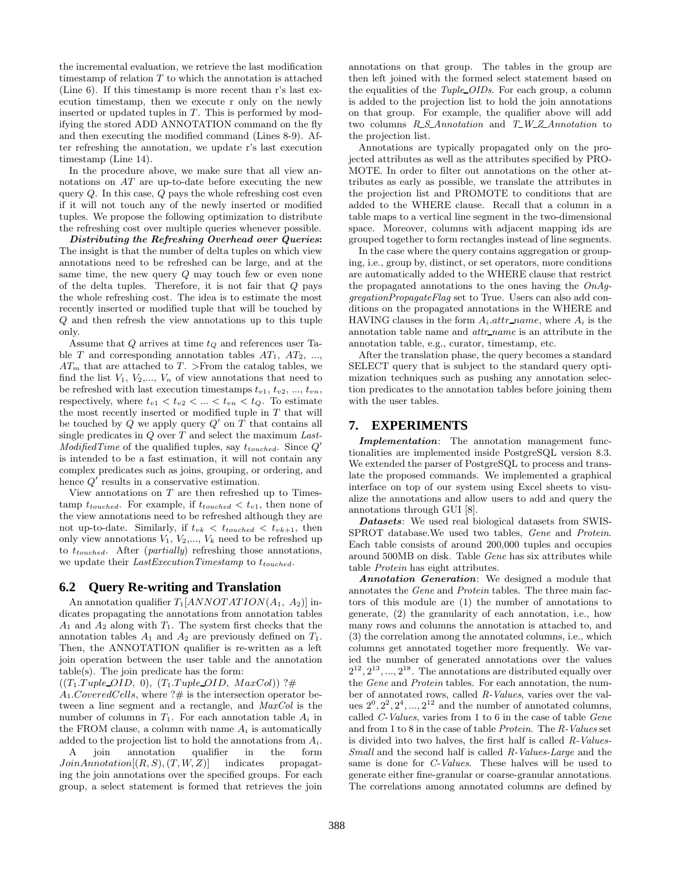the incremental evaluation, we retrieve the last modification timestamp of relation  $T$  to which the annotation is attached (Line 6). If this timestamp is more recent than r's last execution timestamp, then we execute r only on the newly inserted or updated tuples in T. This is performed by modifying the stored ADD ANNOTATION command on the fly and then executing the modified command (Lines 8-9). After refreshing the annotation, we update r's last execution timestamp (Line 14).

In the procedure above, we make sure that all view annotations on AT are up-to-date before executing the new query  $Q$ . In this case,  $Q$  pays the whole refreshing cost even if it will not touch any of the newly inserted or modified tuples. We propose the following optimization to distribute the refreshing cost over multiple queries whenever possible.

Distributing the Refreshing Overhead over Queries: The insight is that the number of delta tuples on which view annotations need to be refreshed can be large, and at the same time, the new query  $Q$  may touch few or even none of the delta tuples. Therefore, it is not fair that  $Q$  pays the whole refreshing cost. The idea is to estimate the most recently inserted or modified tuple that will be touched by Q and then refresh the view annotations up to this tuple only.

Assume that  $Q$  arrives at time  $t_Q$  and references user Table T and corresponding annotation tables  $AT_1$ ,  $AT_2$ , ...,  $AT_m$  that are attached to T. >From the catalog tables, we find the list  $V_1, V_2, \ldots, V_n$  of view annotations that need to be refreshed with last execution timestamps  $t_{v1}, t_{v2}, ..., t_{vn}$ , respectively, where  $t_{v1} < t_{v2} < ... < t_{vn} < t_Q$ . To estimate the most recently inserted or modified tuple in  $T$  that will be touched by  $\overline{Q}$  we apply query  $Q'$  on  $\overline{T}$  that contains all single predicates in  $Q$  over  $T$  and select the maximum Last- $ModifiedTime$  of the qualified tuples, say  $t_{touched}$ . Since  $Q'$ is intended to be a fast estimation, it will not contain any complex predicates such as joins, grouping, or ordering, and hence  $Q'$  results in a conservative estimation.

View annotations on  $T$  are then refreshed up to Timestamp  $t_{touched}$ . For example, if  $t_{touched} < t_{v1}$ , then none of the view annotations need to be refreshed although they are not up-to-date. Similarly, if  $t_{vk} < t_{touched} < t_{vk+1}$ , then only view annotations  $V_1$ ,  $V_2$ ,...,  $V_k$  need to be refreshed up to  $t_{touched}$ . After (*partially*) refreshing those annotations, we update their LastExecutionTimestamp to  $t_{touched}$ .

### **6.2 Query Re-writing and Translation**

An annotation qualifier  $T_1[ANNOTATION(A_1, A_2)]$  indicates propagating the annotations from annotation tables  $A_1$  and  $A_2$  along with  $T_1$ . The system first checks that the annotation tables  $A_1$  and  $A_2$  are previously defined on  $T_1$ . Then, the ANNOTATION qualifier is re-written as a left join operation between the user table and the annotation table(s). The join predicate has the form:

 $((T_1.Tuple\_OID, 0), (T_1.Tuple\_OID, MaxCol))$  ?#

 $A_1$ . Covered Cells, where ?# is the intersection operator between a line segment and a rectangle, and MaxCol is the number of columns in  $T_1$ . For each annotation table  $A_i$  in the FROM clause, a column with name  $A_i$  is automatically added to the projection list to hold the annotations from  $A_i$ .

A join annotation qualifier in the form  $JoinAnnotation[(R, S), (T, W, Z)]$  indicates propagating the join annotations over the specified groups. For each group, a select statement is formed that retrieves the join annotations on that group. The tables in the group are then left joined with the formed select statement based on the equalities of the *Tuple* OIDs. For each group, a column is added to the projection list to hold the join annotations on that group. For example, the qualifier above will add two columns  $R\_S\_Annotation$  and  $T\_W\_Z\_Annotation$  to the projection list.

Annotations are typically propagated only on the projected attributes as well as the attributes specified by PRO-MOTE. In order to filter out annotations on the other attributes as early as possible, we translate the attributes in the projection list and PROMOTE to conditions that are added to the WHERE clause. Recall that a column in a table maps to a vertical line segment in the two-dimensional space. Moreover, columns with adjacent mapping ids are grouped together to form rectangles instead of line segments.

In the case where the query contains aggregation or grouping, i.e., group by, distinct, or set operators, more conditions are automatically added to the WHERE clause that restrict the propagated annotations to the ones having the  $OnAg$ gregationPropagateFlag set to True. Users can also add conditions on the propagated annotations in the WHERE and HAVING clauses in the form  $A_i.attr_name$ , where  $A_i$  is the annotation table name and  $attr_name$  is an attribute in the annotation table, e.g., curator, timestamp, etc.

After the translation phase, the query becomes a standard SELECT query that is subject to the standard query optimization techniques such as pushing any annotation selection predicates to the annotation tables before joining them with the user tables.

## **7. EXPERIMENTS**

Implementation: The annotation management functionalities are implemented inside PostgreSQL version 8.3. We extended the parser of PostgreSQL to process and translate the proposed commands. We implemented a graphical interface on top of our system using Excel sheets to visualize the annotations and allow users to add and query the annotations through GUI [8].

**Datasets:** We used real biological datasets from SWIS-SPROT database.We used two tables, Gene and Protein. Each table consists of around 200,000 tuples and occupies around 500MB on disk. Table Gene has six attributes while table Protein has eight attributes.

Annotation Generation: We designed a module that annotates the Gene and Protein tables. The three main factors of this module are (1) the number of annotations to generate, (2) the granularity of each annotation, i.e., how many rows and columns the annotation is attached to, and (3) the correlation among the annotated columns, i.e., which columns get annotated together more frequently. We varied the number of generated annotations over the values  $2^{12}, 2^{13}, ..., 2^{18}$ . The annotations are distributed equally over the Gene and Protein tables. For each annotation, the number of annotated rows, called R-Values, varies over the values  $2^0, 2^2, 2^4, ..., 2^{12}$  and the number of annotated columns, called C-Values, varies from 1 to 6 in the case of table Gene and from 1 to 8 in the case of table Protein. The R-Values set is divided into two halves, the first half is called R-Values-Small and the second half is called R-Values-Large and the same is done for C-Values. These halves will be used to generate either fine-granular or coarse-granular annotations. The correlations among annotated columns are defined by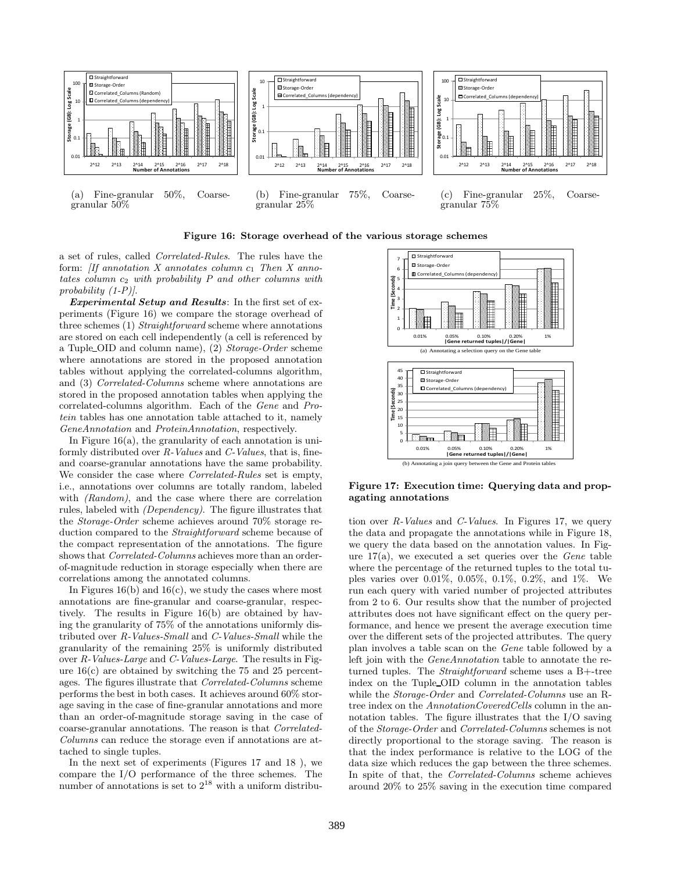

Figure 16: Storage overhead of the various storage schemes

a set of rules, called Correlated-Rules. The rules have the form: *If annotation X annotates column c<sub>1</sub>* Then X annotates column  $c_2$  with probability P and other columns with probability (1-P)].

Experimental Setup and Results: In the first set of experiments (Figure 16) we compare the storage overhead of three schemes (1) Straightforward scheme where annotations are stored on each cell independently (a cell is referenced by a Tuple OID and column name), (2) Storage-Order scheme where annotations are stored in the proposed annotation tables without applying the correlated-columns algorithm, and (3) Correlated-Columns scheme where annotations are stored in the proposed annotation tables when applying the correlated-columns algorithm. Each of the Gene and Protein tables has one annotation table attached to it, namely GeneAnnotation and ProteinAnnotation, respectively.

In Figure  $16(a)$ , the granularity of each annotation is uniformly distributed over  $R$ -Values and  $C$ -Values, that is, fineand coarse-granular annotations have the same probability. We consider the case where *Correlated-Rules* set is empty, i.e., annotations over columns are totally random, labeled with *(Random)*, and the case where there are correlation rules, labeled with (Dependency). The figure illustrates that the Storage-Order scheme achieves around 70% storage reduction compared to the Straightforward scheme because of the compact representation of the annotations. The figure shows that Correlated-Columns achieves more than an orderof-magnitude reduction in storage especially when there are correlations among the annotated columns.

In Figures  $16(b)$  and  $16(c)$ , we study the cases where most annotations are fine-granular and coarse-granular, respectively. The results in Figure 16(b) are obtained by having the granularity of 75% of the annotations uniformly distributed over R-Values-Small and C-Values-Small while the granularity of the remaining 25% is uniformly distributed over R-Values-Large and C-Values-Large. The results in Figure 16(c) are obtained by switching the 75 and 25 percentages. The figures illustrate that Correlated-Columns scheme performs the best in both cases. It achieves around 60% storage saving in the case of fine-granular annotations and more than an order-of-magnitude storage saving in the case of coarse-granular annotations. The reason is that Correlated-Columns can reduce the storage even if annotations are attached to single tuples.

In the next set of experiments (Figures 17 and 18 ), we compare the I/O performance of the three schemes. The number of annotations is set to  $2^{18}$  with a uniform distribu-



Figure 17: Execution time: Querying data and propagating annotations

tion over R-Values and C-Values. In Figures 17, we query the data and propagate the annotations while in Figure 18, we query the data based on the annotation values. In Figure  $17(a)$ , we executed a set queries over the *Gene* table where the percentage of the returned tuples to the total tuples varies over 0.01%, 0.05%, 0.1%, 0.2%, and 1%. We run each query with varied number of projected attributes from 2 to 6. Our results show that the number of projected attributes does not have significant effect on the query performance, and hence we present the average execution time over the different sets of the projected attributes. The query plan involves a table scan on the Gene table followed by a left join with the GeneAnnotation table to annotate the returned tuples. The Straightforward scheme uses a B+-tree index on the Tuple OID column in the annotation tables while the Storage-Order and Correlated-Columns use an Rtree index on the AnnotationCoveredCells column in the annotation tables. The figure illustrates that the I/O saving of the Storage-Order and Correlated-Columns schemes is not directly proportional to the storage saving. The reason is that the index performance is relative to the LOG of the data size which reduces the gap between the three schemes. In spite of that, the Correlated-Columns scheme achieves around 20% to 25% saving in the execution time compared